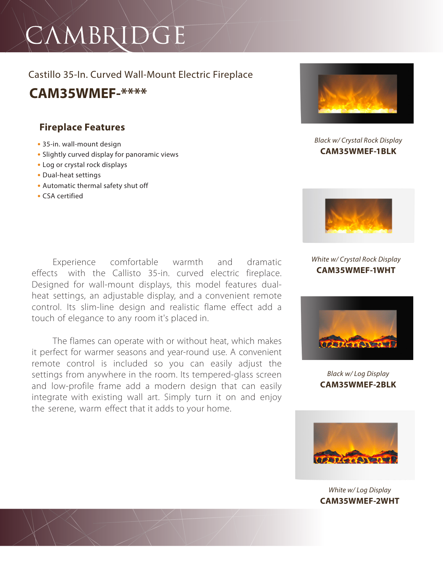# CAMBRIDGE

### Castillo 35-In. Curved Wall-Mount Electric Fireplace **CAM35WMEF-\*\*\*\***

### **Fireplace Features**

- **•** 35-in. wall-mount design
- **•** Slightly curved display for panoramic views
- **•** Log or crystal rock displays
- **•** Dual-heat settings
- **•** Automatic thermal safety shut off
- **•** CSA certified

Experience comfortable warmth and dramatic effects with the Callisto 35-in. curved electric fireplace. Designed for wall-mount displays, this model features dualheat settings, an adjustable display, and a convenient remote control. Its slim-line design and realistic flame effect add a touch of elegance to any room it's placed in.

The flames can operate with or without heat, which makes it perfect for warmer seasons and year-round use. A convenient remote control is included so you can easily adjust the settings from anywhere in the room. Its tempered-glass screen and low-profile frame add a modern design that can easily integrate with existing wall art. Simply turn it on and enjoy the serene, warm effect that it adds to your home.



### *Black w/ Crystal Rock Display* **CAM35WMEF-1BLK**



### *White w/ Crystal Rock Display* **CAM35WMEF-1WHT**



*Black w/ Log Display* **CAM35WMEF-2BLK**



*White w/ Log Display* **CAM35WMEF-2WHT**